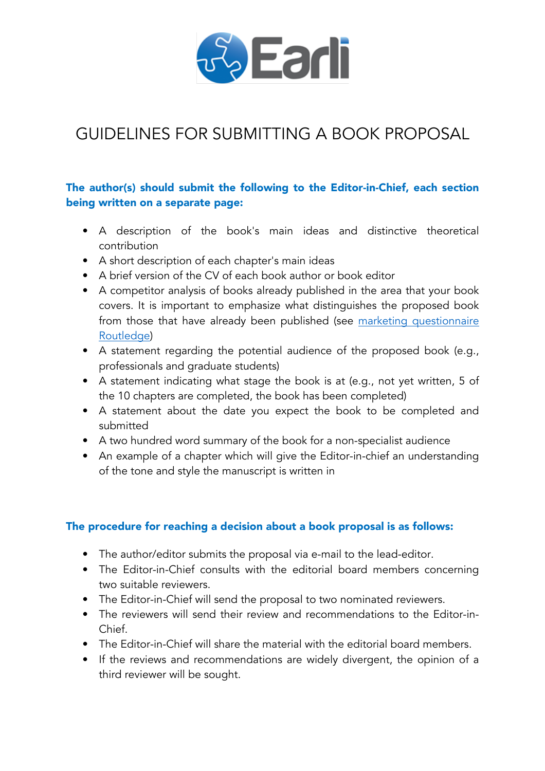

## GUIDELINES FOR SUBMITTING A BOOK PROPOSAL

## The author(s) should submit the following to the Editor-in-Chief, each section being written on a separate page:

- A description of the book's main ideas and distinctive theoretical contribution
- A short description of each chapter's main ideas
- A brief version of the CV of each book author or book editor
- A competitor analysis of books already published in the area that your book covers. It is important to emphasize what distinguishes the proposed book from those that have already been published (see marketing questionnaire Routledge)
- A statement regarding the potential audience of the proposed book (e.g., professionals and graduate students)
- A statement indicating what stage the book is at (e.g., not yet written, 5 of the 10 chapters are completed, the book has been completed)
- A statement about the date you expect the book to be completed and submitted
- A two hundred word summary of the book for a non-specialist audience
- An example of a chapter which will give the Editor-in-chief an understanding of the tone and style the manuscript is written in

## The procedure for reaching a decision about a book proposal is as follows:

- The author/editor submits the proposal via e-mail to the lead-editor.
- The Editor-in-Chief consults with the editorial board members concerning two suitable reviewers.
- The Editor-in-Chief will send the proposal to two nominated reviewers.
- The reviewers will send their review and recommendations to the Editor-in-Chief.
- The Editor-in-Chief will share the material with the editorial board members.
- If the reviews and recommendations are widely divergent, the opinion of a third reviewer will be sought.